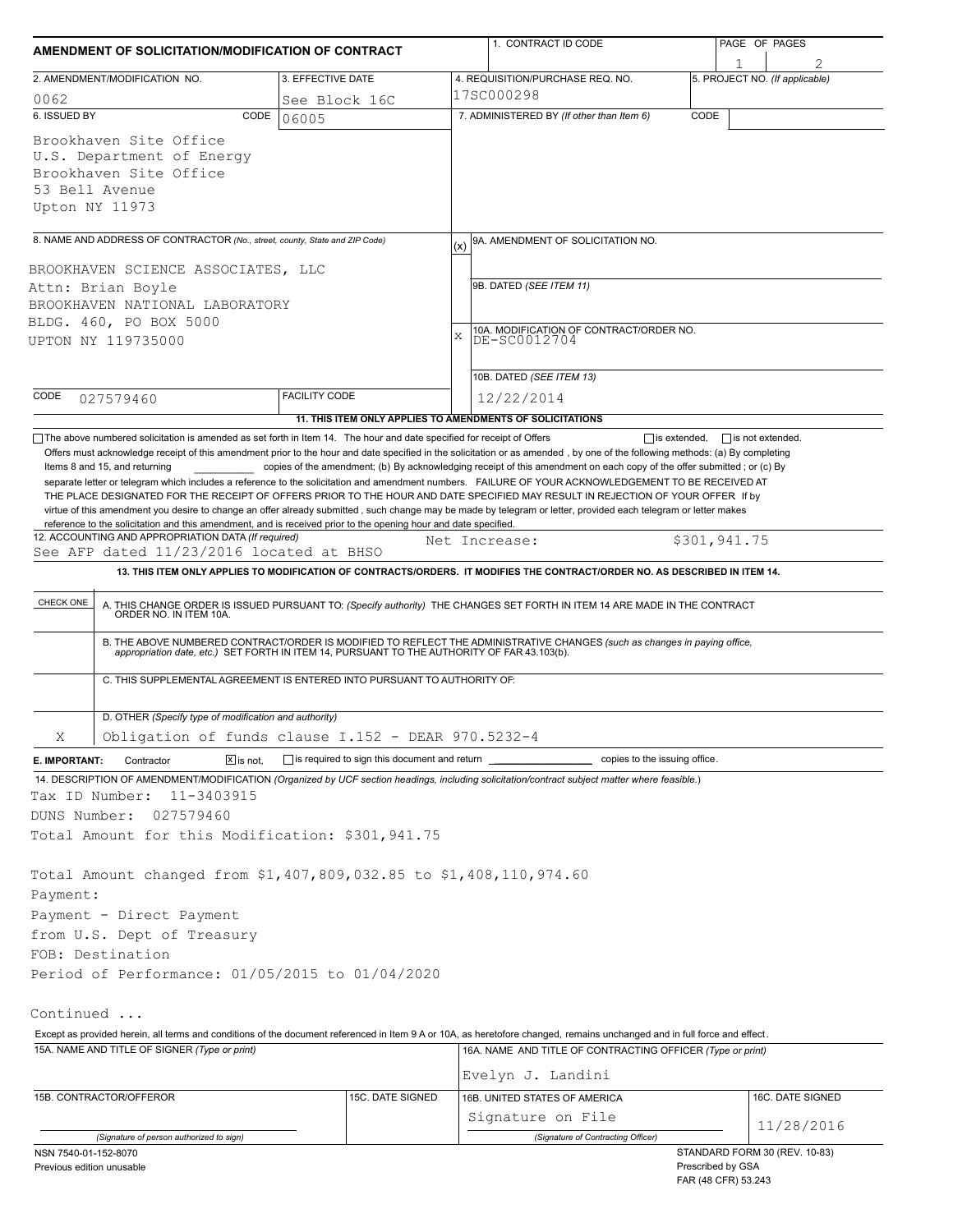| AMENDMENT OF SOLICITATION/MODIFICATION OF CONTRACT                                                                                                                                                                 |                      |                   |                                                                      | 1. CONTRACT ID CODE                                                                                                                                                                                                   |                  | PAGE OF PAGES                                      |  |  |
|--------------------------------------------------------------------------------------------------------------------------------------------------------------------------------------------------------------------|----------------------|-------------------|----------------------------------------------------------------------|-----------------------------------------------------------------------------------------------------------------------------------------------------------------------------------------------------------------------|------------------|----------------------------------------------------|--|--|
| 2. AMENDMENT/MODIFICATION NO.                                                                                                                                                                                      |                      | 3. EFFECTIVE DATE |                                                                      | 4. REQUISITION/PURCHASE REQ. NO.                                                                                                                                                                                      |                  | 5. PROJECT NO. (If applicable)                     |  |  |
| 0062                                                                                                                                                                                                               |                      | See Block 16C     |                                                                      | 17SC000298                                                                                                                                                                                                            |                  |                                                    |  |  |
| 6. ISSUED BY                                                                                                                                                                                                       | CODE<br>06005        |                   | 7. ADMINISTERED BY (If other than Item 6)<br>CODE                    |                                                                                                                                                                                                                       |                  |                                                    |  |  |
| Brookhaven Site Office<br>U.S. Department of Energy<br>Brookhaven Site Office<br>53 Bell Avenue<br>Upton NY 11973                                                                                                  |                      |                   |                                                                      |                                                                                                                                                                                                                       |                  |                                                    |  |  |
| 8. NAME AND ADDRESS OF CONTRACTOR (No., street, county, State and ZIP Code)                                                                                                                                        |                      |                   | (x)                                                                  | 9A. AMENDMENT OF SOLICITATION NO.                                                                                                                                                                                     |                  |                                                    |  |  |
|                                                                                                                                                                                                                    |                      |                   |                                                                      |                                                                                                                                                                                                                       |                  |                                                    |  |  |
| BROOKHAVEN SCIENCE ASSOCIATES, LLC                                                                                                                                                                                 |                      |                   |                                                                      | 9B. DATED (SEE ITEM 11)                                                                                                                                                                                               |                  |                                                    |  |  |
| Attn: Brian Boyle<br>BROOKHAVEN NATIONAL LABORATORY                                                                                                                                                                |                      |                   |                                                                      |                                                                                                                                                                                                                       |                  |                                                    |  |  |
| BLDG. 460, PO BOX 5000                                                                                                                                                                                             |                      |                   |                                                                      |                                                                                                                                                                                                                       |                  |                                                    |  |  |
| UPTON NY 119735000                                                                                                                                                                                                 |                      |                   | 10A. MODIFICATION OF CONTRACT/ORDER NO.<br>DE-SC0012704<br>$\bar{x}$ |                                                                                                                                                                                                                       |                  |                                                    |  |  |
|                                                                                                                                                                                                                    |                      |                   |                                                                      |                                                                                                                                                                                                                       |                  |                                                    |  |  |
|                                                                                                                                                                                                                    |                      |                   |                                                                      | 10B. DATED (SEE ITEM 13)                                                                                                                                                                                              |                  |                                                    |  |  |
| CODE<br>027579460                                                                                                                                                                                                  | <b>FACILITY CODE</b> |                   |                                                                      | 12/22/2014                                                                                                                                                                                                            |                  |                                                    |  |  |
|                                                                                                                                                                                                                    |                      |                   |                                                                      | 11. THIS ITEM ONLY APPLIES TO AMENDMENTS OF SOLICITATIONS                                                                                                                                                             |                  |                                                    |  |  |
| reference to the solicitation and this amendment, and is received prior to the opening hour and date specified.<br>12. ACCOUNTING AND APPROPRIATION DATA (If required)<br>See AFP dated 11/23/2016 located at BHSO |                      |                   |                                                                      | virtue of this amendment you desire to change an offer already submitted, such change may be made by telegram or letter, provided each telegram or letter makes<br>Net Increase:                                      |                  | \$301,941.75                                       |  |  |
|                                                                                                                                                                                                                    |                      |                   |                                                                      | 13. THIS ITEM ONLY APPLIES TO MODIFICATION OF CONTRACTS/ORDERS. IT MODIFIES THE CONTRACT/ORDER NO. AS DESCRIBED IN ITEM 14.                                                                                           |                  |                                                    |  |  |
| CHECK ONE                                                                                                                                                                                                          |                      |                   |                                                                      | A. THIS CHANGE ORDER IS ISSUED PURSUANT TO: (Specify authority) THE CHANGES SET FORTH IN ITEM 14 ARE MADE IN THE CONTRACT ORDER NO. IN ITEM 10A.                                                                      |                  |                                                    |  |  |
|                                                                                                                                                                                                                    |                      |                   |                                                                      | B. THE ABOVE NUMBERED CONTRACT/ORDER IS MODIFIED TO REFLECT THE ADMINISTRATIVE CHANGES (such as changes in paying office, appropriation date, etc.) SET FORTH IN ITEM 14, PURSUANT TO THE AUTHORITY OF FAR 43.103(b). |                  |                                                    |  |  |
| C. THIS SUPPLEMENTAL AGREEMENT IS ENTERED INTO PURSUANT TO AUTHORITY OF:                                                                                                                                           |                      |                   |                                                                      |                                                                                                                                                                                                                       |                  |                                                    |  |  |
| D. OTHER (Specify type of modification and authority)                                                                                                                                                              |                      |                   |                                                                      |                                                                                                                                                                                                                       |                  |                                                    |  |  |
| Obligation of funds clause I.152 - DEAR 970.5232-4<br>X                                                                                                                                                            |                      |                   |                                                                      |                                                                                                                                                                                                                       |                  |                                                    |  |  |
| E. IMPORTANT:<br>Contractor                                                                                                                                                                                        | $X$ is not.          |                   |                                                                      | is required to sign this document and return ___________________________ copies to the issuing office.                                                                                                                |                  |                                                    |  |  |
| 14. DESCRIPTION OF AMENDMENT/MODIFICATION (Organized by UCF section headings, including solicitation/contract subject matter where feasible.)<br>Tax ID Number:<br>11-3403915                                      |                      |                   |                                                                      |                                                                                                                                                                                                                       |                  |                                                    |  |  |
| DUNS Number:<br>027579460                                                                                                                                                                                          |                      |                   |                                                                      |                                                                                                                                                                                                                       |                  |                                                    |  |  |
| Total Amount for this Modification: \$301,941.75                                                                                                                                                                   |                      |                   |                                                                      |                                                                                                                                                                                                                       |                  |                                                    |  |  |
| Total Amount changed from \$1,407,809,032.85 to \$1,408,110,974.60                                                                                                                                                 |                      |                   |                                                                      |                                                                                                                                                                                                                       |                  |                                                    |  |  |
| Payment:                                                                                                                                                                                                           |                      |                   |                                                                      |                                                                                                                                                                                                                       |                  |                                                    |  |  |
| Payment - Direct Payment                                                                                                                                                                                           |                      |                   |                                                                      |                                                                                                                                                                                                                       |                  |                                                    |  |  |
| from U.S. Dept of Treasury                                                                                                                                                                                         |                      |                   |                                                                      |                                                                                                                                                                                                                       |                  |                                                    |  |  |
| FOB: Destination                                                                                                                                                                                                   |                      |                   |                                                                      |                                                                                                                                                                                                                       |                  |                                                    |  |  |
| Period of Performance: 01/05/2015 to 01/04/2020                                                                                                                                                                    |                      |                   |                                                                      |                                                                                                                                                                                                                       |                  |                                                    |  |  |
| Continued                                                                                                                                                                                                          |                      |                   |                                                                      |                                                                                                                                                                                                                       |                  |                                                    |  |  |
|                                                                                                                                                                                                                    |                      |                   |                                                                      | Except as provided herein, all terms and conditions of the document referenced in Item 9 A or 10A, as heretofore changed, remains unchanged and in full force and effect.                                             |                  |                                                    |  |  |
| 15A. NAME AND TITLE OF SIGNER (Type or print)                                                                                                                                                                      |                      |                   |                                                                      | 16A. NAME AND TITLE OF CONTRACTING OFFICER (Type or print)                                                                                                                                                            |                  |                                                    |  |  |
|                                                                                                                                                                                                                    |                      |                   |                                                                      | Evelyn J. Landini                                                                                                                                                                                                     |                  |                                                    |  |  |
| 15C. DATE SIGNED<br>16B. UNITED STATES OF AMERICA<br>15B. CONTRACTOR/OFFEROR                                                                                                                                       |                      |                   |                                                                      |                                                                                                                                                                                                                       | 16C. DATE SIGNED |                                                    |  |  |
|                                                                                                                                                                                                                    |                      |                   |                                                                      | Signature on File                                                                                                                                                                                                     |                  |                                                    |  |  |
| (Signature of person authorized to sign)                                                                                                                                                                           |                      |                   |                                                                      | (Signature of Contracting Officer)                                                                                                                                                                                    |                  | 11/28/2016                                         |  |  |
| NSN 7540-01-152-8070<br>Previous edition unusable                                                                                                                                                                  |                      |                   |                                                                      |                                                                                                                                                                                                                       |                  | STANDARD FORM 30 (REV. 10-83)<br>Prescribed by GSA |  |  |

FAR (48 CFR) 53.243